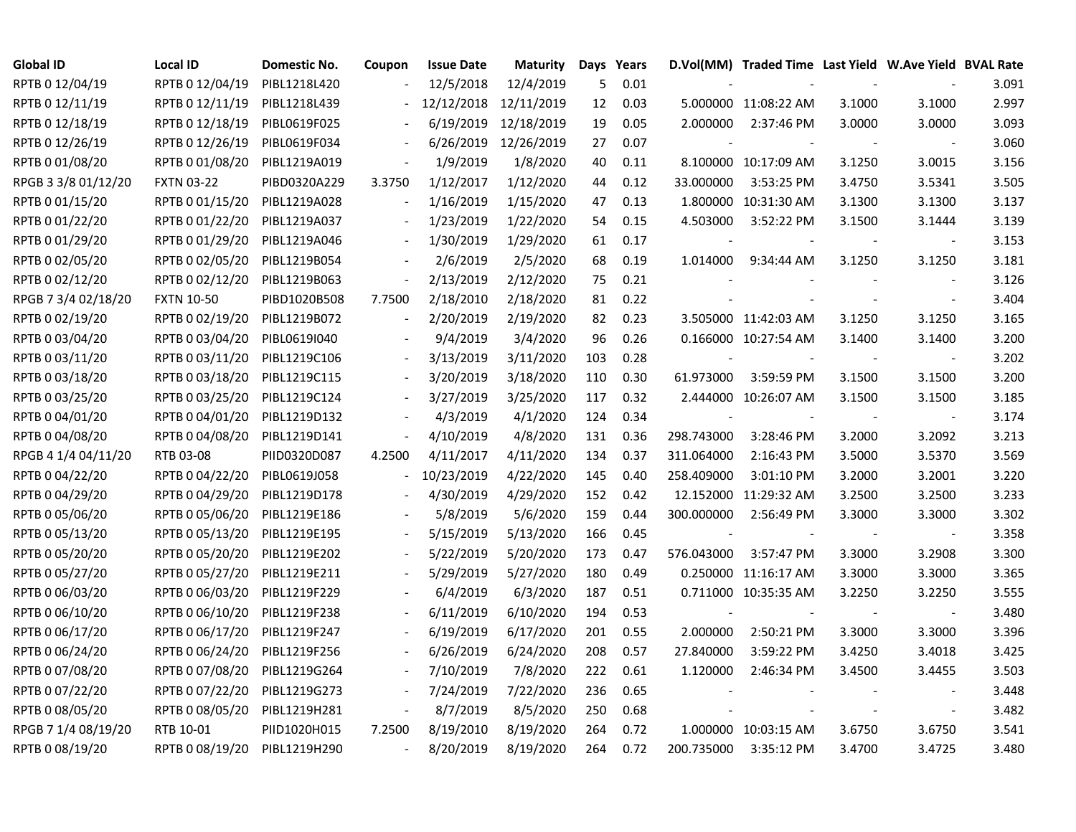| <b>Global ID</b>    | <b>Local ID</b>   | Domestic No. | Coupon                   | <b>Issue Date</b> | <b>Maturity</b> |     | Days Years |            | D.Vol(MM) Traded Time Last Yield W.Ave Yield BVAL Rate |        |                |       |
|---------------------|-------------------|--------------|--------------------------|-------------------|-----------------|-----|------------|------------|--------------------------------------------------------|--------|----------------|-------|
| RPTB 0 12/04/19     | RPTB 0 12/04/19   | PIBL1218L420 |                          | 12/5/2018         | 12/4/2019       | 5   | 0.01       |            |                                                        |        |                | 3.091 |
| RPTB 0 12/11/19     | RPTB 0 12/11/19   | PIBL1218L439 |                          | 12/12/2018        | 12/11/2019      | 12  | 0.03       |            | 5.000000 11:08:22 AM                                   | 3.1000 | 3.1000         | 2.997 |
| RPTB 0 12/18/19     | RPTB 0 12/18/19   | PIBL0619F025 |                          | 6/19/2019         | 12/18/2019      | 19  | 0.05       | 2.000000   | 2:37:46 PM                                             | 3.0000 | 3.0000         | 3.093 |
| RPTB 0 12/26/19     | RPTB 0 12/26/19   | PIBL0619F034 |                          | 6/26/2019         | 12/26/2019      | 27  | 0.07       |            |                                                        |        |                | 3.060 |
| RPTB 0 01/08/20     | RPTB 0 01/08/20   | PIBL1219A019 |                          | 1/9/2019          | 1/8/2020        | 40  | 0.11       |            | 8.100000 10:17:09 AM                                   | 3.1250 | 3.0015         | 3.156 |
| RPGB 3 3/8 01/12/20 | <b>FXTN 03-22</b> | PIBD0320A229 | 3.3750                   | 1/12/2017         | 1/12/2020       | 44  | 0.12       | 33.000000  | 3:53:25 PM                                             | 3.4750 | 3.5341         | 3.505 |
| RPTB 0 01/15/20     | RPTB 0 01/15/20   | PIBL1219A028 | $\overline{\phantom{a}}$ | 1/16/2019         | 1/15/2020       | 47  | 0.13       |            | 1.800000 10:31:30 AM                                   | 3.1300 | 3.1300         | 3.137 |
| RPTB 0 01/22/20     | RPTB 0 01/22/20   | PIBL1219A037 |                          | 1/23/2019         | 1/22/2020       | 54  | 0.15       | 4.503000   | 3:52:22 PM                                             | 3.1500 | 3.1444         | 3.139 |
| RPTB 0 01/29/20     | RPTB 0 01/29/20   | PIBL1219A046 |                          | 1/30/2019         | 1/29/2020       | 61  | 0.17       |            |                                                        |        |                | 3.153 |
| RPTB 0 02/05/20     | RPTB 0 02/05/20   | PIBL1219B054 |                          | 2/6/2019          | 2/5/2020        | 68  | 0.19       | 1.014000   | 9:34:44 AM                                             | 3.1250 | 3.1250         | 3.181 |
| RPTB 0 02/12/20     | RPTB 0 02/12/20   | PIBL1219B063 | $\overline{\phantom{a}}$ | 2/13/2019         | 2/12/2020       | 75  | 0.21       |            |                                                        |        |                | 3.126 |
| RPGB 7 3/4 02/18/20 | <b>FXTN 10-50</b> | PIBD1020B508 | 7.7500                   | 2/18/2010         | 2/18/2020       | 81  | 0.22       |            |                                                        |        | $\blacksquare$ | 3.404 |
| RPTB 0 02/19/20     | RPTB 0 02/19/20   | PIBL1219B072 | $\ddot{\phantom{a}}$     | 2/20/2019         | 2/19/2020       | 82  | 0.23       |            | 3.505000 11:42:03 AM                                   | 3.1250 | 3.1250         | 3.165 |
| RPTB 0 03/04/20     | RPTB 0 03/04/20   | PIBL0619I040 |                          | 9/4/2019          | 3/4/2020        | 96  | 0.26       |            | 0.166000 10:27:54 AM                                   | 3.1400 | 3.1400         | 3.200 |
| RPTB 0 03/11/20     | RPTB 0 03/11/20   | PIBL1219C106 |                          | 3/13/2019         | 3/11/2020       | 103 | 0.28       |            |                                                        |        |                | 3.202 |
| RPTB 0 03/18/20     | RPTB 0 03/18/20   | PIBL1219C115 |                          | 3/20/2019         | 3/18/2020       | 110 | 0.30       | 61.973000  | 3:59:59 PM                                             | 3.1500 | 3.1500         | 3.200 |
| RPTB 0 03/25/20     | RPTB 0 03/25/20   | PIBL1219C124 |                          | 3/27/2019         | 3/25/2020       | 117 | 0.32       |            | 2.444000 10:26:07 AM                                   | 3.1500 | 3.1500         | 3.185 |
| RPTB 0 04/01/20     | RPTB 0 04/01/20   | PIBL1219D132 |                          | 4/3/2019          | 4/1/2020        | 124 | 0.34       |            |                                                        |        |                | 3.174 |
| RPTB 0 04/08/20     | RPTB 0 04/08/20   | PIBL1219D141 | $\blacksquare$           | 4/10/2019         | 4/8/2020        | 131 | 0.36       | 298.743000 | 3:28:46 PM                                             | 3.2000 | 3.2092         | 3.213 |
| RPGB 4 1/4 04/11/20 | RTB 03-08         | PIID0320D087 | 4.2500                   | 4/11/2017         | 4/11/2020       | 134 | 0.37       | 311.064000 | 2:16:43 PM                                             | 3.5000 | 3.5370         | 3.569 |
| RPTB 0 04/22/20     | RPTB 0 04/22/20   | PIBL0619J058 | $\overline{\phantom{0}}$ | 10/23/2019        | 4/22/2020       | 145 | 0.40       | 258.409000 | 3:01:10 PM                                             | 3.2000 | 3.2001         | 3.220 |
| RPTB 0 04/29/20     | RPTB 0 04/29/20   | PIBL1219D178 |                          | 4/30/2019         | 4/29/2020       | 152 | 0.42       |            | 12.152000 11:29:32 AM                                  | 3.2500 | 3.2500         | 3.233 |
| RPTB 0 05/06/20     | RPTB 0 05/06/20   | PIBL1219E186 |                          | 5/8/2019          | 5/6/2020        | 159 | 0.44       | 300.000000 | 2:56:49 PM                                             | 3.3000 | 3.3000         | 3.302 |
| RPTB 0 05/13/20     | RPTB 0 05/13/20   | PIBL1219E195 |                          | 5/15/2019         | 5/13/2020       | 166 | 0.45       |            |                                                        |        | $\sim$         | 3.358 |
| RPTB 0 05/20/20     | RPTB 0 05/20/20   | PIBL1219E202 |                          | 5/22/2019         | 5/20/2020       | 173 | 0.47       | 576.043000 | 3:57:47 PM                                             | 3.3000 | 3.2908         | 3.300 |
| RPTB 0 05/27/20     | RPTB 0 05/27/20   | PIBL1219E211 |                          | 5/29/2019         | 5/27/2020       | 180 | 0.49       |            | 0.250000 11:16:17 AM                                   | 3.3000 | 3.3000         | 3.365 |
| RPTB 0 06/03/20     | RPTB 0 06/03/20   | PIBL1219F229 |                          | 6/4/2019          | 6/3/2020        | 187 | 0.51       |            | 0.711000 10:35:35 AM                                   | 3.2250 | 3.2250         | 3.555 |
| RPTB 0 06/10/20     | RPTB 0 06/10/20   | PIBL1219F238 |                          | 6/11/2019         | 6/10/2020       | 194 | 0.53       |            |                                                        |        |                | 3.480 |
| RPTB 0 06/17/20     | RPTB 0 06/17/20   | PIBL1219F247 |                          | 6/19/2019         | 6/17/2020       | 201 | 0.55       | 2.000000   | 2:50:21 PM                                             | 3.3000 | 3.3000         | 3.396 |
| RPTB 0 06/24/20     | RPTB 0 06/24/20   | PIBL1219F256 |                          | 6/26/2019         | 6/24/2020       | 208 | 0.57       | 27.840000  | 3:59:22 PM                                             | 3.4250 | 3.4018         | 3.425 |
| RPTB 0 07/08/20     | RPTB 0 07/08/20   | PIBL1219G264 | $\overline{\phantom{a}}$ | 7/10/2019         | 7/8/2020        | 222 | 0.61       | 1.120000   | 2:46:34 PM                                             | 3.4500 | 3.4455         | 3.503 |
| RPTB 0 07/22/20     | RPTB 0 07/22/20   | PIBL1219G273 | $\overline{\phantom{a}}$ | 7/24/2019         | 7/22/2020       | 236 | 0.65       |            |                                                        |        | $\blacksquare$ | 3.448 |
| RPTB 0 08/05/20     | RPTB 0 08/05/20   | PIBL1219H281 | $\Box$                   | 8/7/2019          | 8/5/2020        | 250 | 0.68       |            |                                                        |        | $\sim$         | 3.482 |
| RPGB 7 1/4 08/19/20 | RTB 10-01         | PIID1020H015 | 7.2500                   | 8/19/2010         | 8/19/2020       | 264 | 0.72       |            | 1.000000 10:03:15 AM                                   | 3.6750 | 3.6750         | 3.541 |
| RPTB 0 08/19/20     | RPTB 0 08/19/20   | PIBL1219H290 | $\sim$                   | 8/20/2019         | 8/19/2020       | 264 | 0.72       | 200.735000 | 3:35:12 PM                                             | 3.4700 | 3.4725         | 3.480 |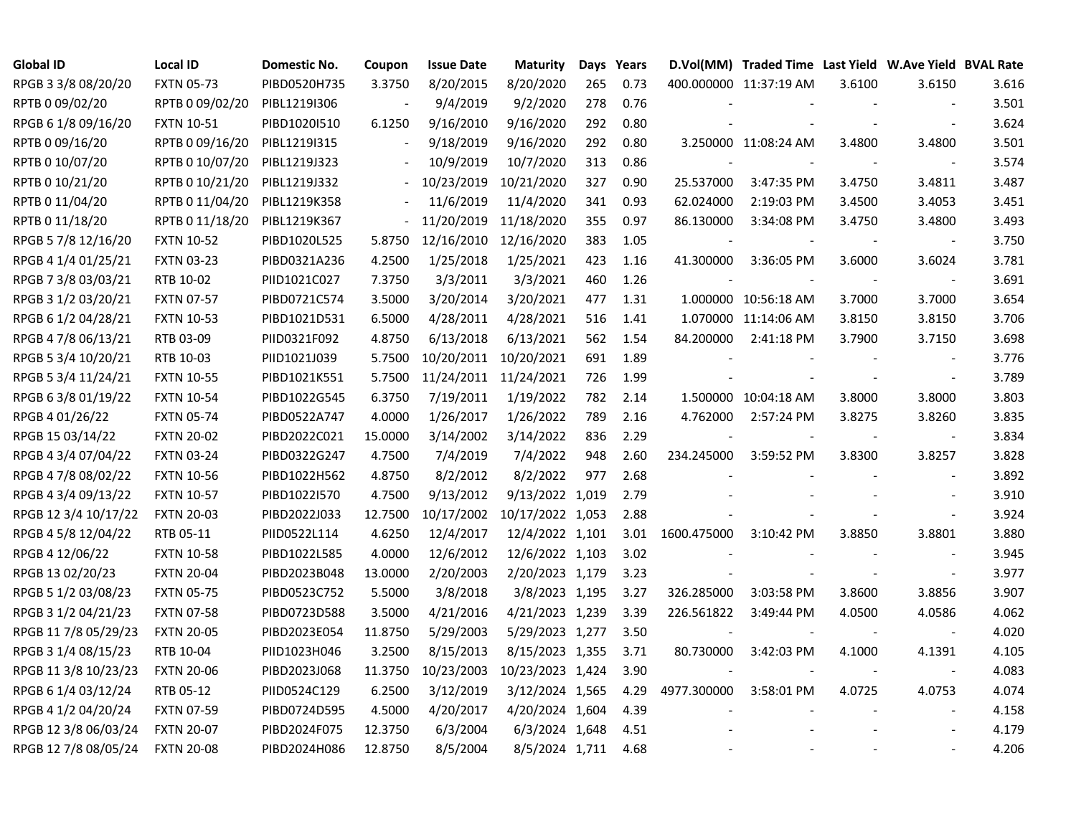| <b>Global ID</b>     | <b>Local ID</b>   | <b>Domestic No.</b> | Coupon                   | <b>Issue Date</b> | <b>Maturity</b>             |     | Days Years |             | D.Vol(MM) Traded Time Last Yield W.Ave Yield BVAL Rate |        |                          |       |
|----------------------|-------------------|---------------------|--------------------------|-------------------|-----------------------------|-----|------------|-------------|--------------------------------------------------------|--------|--------------------------|-------|
| RPGB 3 3/8 08/20/20  | <b>FXTN 05-73</b> | PIBD0520H735        | 3.3750                   | 8/20/2015         | 8/20/2020                   | 265 | 0.73       |             | 400.000000 11:37:19 AM                                 | 3.6100 | 3.6150                   | 3.616 |
| RPTB 0 09/02/20      | RPTB 0 09/02/20   | PIBL1219I306        |                          | 9/4/2019          | 9/2/2020                    | 278 | 0.76       |             |                                                        |        |                          | 3.501 |
| RPGB 6 1/8 09/16/20  | <b>FXTN 10-51</b> | PIBD1020I510        | 6.1250                   | 9/16/2010         | 9/16/2020                   | 292 | 0.80       |             |                                                        |        |                          | 3.624 |
| RPTB 0 09/16/20      | RPTB 0 09/16/20   | PIBL1219I315        |                          | 9/18/2019         | 9/16/2020                   | 292 | 0.80       |             | 3.250000 11:08:24 AM                                   | 3.4800 | 3.4800                   | 3.501 |
| RPTB 0 10/07/20      | RPTB 0 10/07/20   | PIBL1219J323        |                          | 10/9/2019         | 10/7/2020                   | 313 | 0.86       |             |                                                        |        | $\overline{\phantom{a}}$ | 3.574 |
| RPTB 0 10/21/20      | RPTB 0 10/21/20   | PIBL1219J332        | $\blacksquare$           | 10/23/2019        | 10/21/2020                  | 327 | 0.90       | 25.537000   | 3:47:35 PM                                             | 3.4750 | 3.4811                   | 3.487 |
| RPTB 0 11/04/20      | RPTB 0 11/04/20   | PIBL1219K358        | $\overline{\phantom{a}}$ | 11/6/2019         | 11/4/2020                   | 341 | 0.93       | 62.024000   | 2:19:03 PM                                             | 3.4500 | 3.4053                   | 3.451 |
| RPTB 0 11/18/20      | RPTB 0 11/18/20   | PIBL1219K367        | $\overline{\phantom{a}}$ | 11/20/2019        | 11/18/2020                  | 355 | 0.97       | 86.130000   | 3:34:08 PM                                             | 3.4750 | 3.4800                   | 3.493 |
| RPGB 5 7/8 12/16/20  | <b>FXTN 10-52</b> | PIBD1020L525        | 5.8750                   | 12/16/2010        | 12/16/2020                  | 383 | 1.05       |             |                                                        |        |                          | 3.750 |
| RPGB 4 1/4 01/25/21  | <b>FXTN 03-23</b> | PIBD0321A236        | 4.2500                   | 1/25/2018         | 1/25/2021                   | 423 | 1.16       | 41.300000   | 3:36:05 PM                                             | 3.6000 | 3.6024                   | 3.781 |
| RPGB 7 3/8 03/03/21  | RTB 10-02         | PIID1021C027        | 7.3750                   | 3/3/2011          | 3/3/2021                    | 460 | 1.26       |             |                                                        |        | $\overline{\phantom{a}}$ | 3.691 |
| RPGB 3 1/2 03/20/21  | <b>FXTN 07-57</b> | PIBD0721C574        | 3.5000                   | 3/20/2014         | 3/20/2021                   | 477 | 1.31       |             | 1.000000 10:56:18 AM                                   | 3.7000 | 3.7000                   | 3.654 |
| RPGB 6 1/2 04/28/21  | <b>FXTN 10-53</b> | PIBD1021D531        | 6.5000                   | 4/28/2011         | 4/28/2021                   | 516 | 1.41       |             | 1.070000 11:14:06 AM                                   | 3.8150 | 3.8150                   | 3.706 |
| RPGB 4 7/8 06/13/21  | RTB 03-09         | PIID0321F092        | 4.8750                   | 6/13/2018         | 6/13/2021                   | 562 | 1.54       | 84.200000   | 2:41:18 PM                                             | 3.7900 | 3.7150                   | 3.698 |
| RPGB 5 3/4 10/20/21  | RTB 10-03         | PIID1021J039        | 5.7500                   | 10/20/2011        | 10/20/2021                  | 691 | 1.89       |             |                                                        |        |                          | 3.776 |
| RPGB 5 3/4 11/24/21  | <b>FXTN 10-55</b> | PIBD1021K551        | 5.7500                   |                   | 11/24/2011 11/24/2021       | 726 | 1.99       |             |                                                        |        |                          | 3.789 |
| RPGB 63/801/19/22    | <b>FXTN 10-54</b> | PIBD1022G545        | 6.3750                   | 7/19/2011         | 1/19/2022                   | 782 | 2.14       |             | 1.500000 10:04:18 AM                                   | 3.8000 | 3.8000                   | 3.803 |
| RPGB 4 01/26/22      | <b>FXTN 05-74</b> | PIBD0522A747        | 4.0000                   | 1/26/2017         | 1/26/2022                   | 789 | 2.16       | 4.762000    | 2:57:24 PM                                             | 3.8275 | 3.8260                   | 3.835 |
| RPGB 15 03/14/22     | <b>FXTN 20-02</b> | PIBD2022C021        | 15.0000                  | 3/14/2002         | 3/14/2022                   | 836 | 2.29       |             |                                                        |        | $\overline{\phantom{a}}$ | 3.834 |
| RPGB 4 3/4 07/04/22  | <b>FXTN 03-24</b> | PIBD0322G247        | 4.7500                   | 7/4/2019          | 7/4/2022                    | 948 | 2.60       | 234.245000  | 3:59:52 PM                                             | 3.8300 | 3.8257                   | 3.828 |
| RPGB 4 7/8 08/02/22  | <b>FXTN 10-56</b> | PIBD1022H562        | 4.8750                   | 8/2/2012          | 8/2/2022                    | 977 | 2.68       |             |                                                        |        |                          | 3.892 |
| RPGB 4 3/4 09/13/22  | <b>FXTN 10-57</b> | PIBD1022I570        | 4.7500                   | 9/13/2012         | 9/13/2022 1,019             |     | 2.79       |             |                                                        |        | $\sim$                   | 3.910 |
| RPGB 12 3/4 10/17/22 | <b>FXTN 20-03</b> | PIBD2022J033        | 12.7500                  |                   | 10/17/2002 10/17/2022 1,053 |     | 2.88       |             |                                                        |        | $\sim$                   | 3.924 |
| RPGB 4 5/8 12/04/22  | RTB 05-11         | PIID0522L114        | 4.6250                   | 12/4/2017         | 12/4/2022 1,101             |     | 3.01       | 1600.475000 | 3:10:42 PM                                             | 3.8850 | 3.8801                   | 3.880 |
| RPGB 4 12/06/22      | <b>FXTN 10-58</b> | PIBD1022L585        | 4.0000                   | 12/6/2012         | 12/6/2022 1,103             |     | 3.02       |             |                                                        |        | $\blacksquare$           | 3.945 |
| RPGB 13 02/20/23     | <b>FXTN 20-04</b> | PIBD2023B048        | 13.0000                  | 2/20/2003         | 2/20/2023 1,179             |     | 3.23       |             |                                                        |        | $\sim$                   | 3.977 |
| RPGB 5 1/2 03/08/23  | <b>FXTN 05-75</b> | PIBD0523C752        | 5.5000                   | 3/8/2018          | 3/8/2023 1,195              |     | 3.27       | 326.285000  | 3:03:58 PM                                             | 3.8600 | 3.8856                   | 3.907 |
| RPGB 3 1/2 04/21/23  | <b>FXTN 07-58</b> | PIBD0723D588        | 3.5000                   | 4/21/2016         | 4/21/2023 1,239             |     | 3.39       | 226.561822  | 3:49:44 PM                                             | 4.0500 | 4.0586                   | 4.062 |
| RPGB 11 7/8 05/29/23 | <b>FXTN 20-05</b> | PIBD2023E054        | 11.8750                  | 5/29/2003         | 5/29/2023 1,277             |     | 3.50       |             |                                                        |        |                          | 4.020 |
| RPGB 3 1/4 08/15/23  | RTB 10-04         | PIID1023H046        | 3.2500                   | 8/15/2013         | 8/15/2023 1,355             |     | 3.71       | 80.730000   | 3:42:03 PM                                             | 4.1000 | 4.1391                   | 4.105 |
| RPGB 11 3/8 10/23/23 | <b>FXTN 20-06</b> | PIBD2023J068        | 11.3750                  | 10/23/2003        | 10/23/2023 1,424            |     | 3.90       |             |                                                        |        | $\sim$                   | 4.083 |
| RPGB 6 1/4 03/12/24  | RTB 05-12         | PIID0524C129        | 6.2500                   | 3/12/2019         | 3/12/2024 1,565             |     | 4.29       | 4977.300000 | 3:58:01 PM                                             | 4.0725 | 4.0753                   | 4.074 |
| RPGB 4 1/2 04/20/24  | <b>FXTN 07-59</b> | PIBD0724D595        | 4.5000                   | 4/20/2017         | 4/20/2024 1,604             |     | 4.39       |             |                                                        |        | $\overline{\phantom{a}}$ | 4.158 |
| RPGB 12 3/8 06/03/24 | <b>FXTN 20-07</b> | PIBD2024F075        | 12.3750                  | 6/3/2004          | 6/3/2024 1,648              |     | 4.51       |             |                                                        |        |                          | 4.179 |
| RPGB 12 7/8 08/05/24 | <b>FXTN 20-08</b> | PIBD2024H086        | 12.8750                  | 8/5/2004          | 8/5/2024 1,711              |     | 4.68       |             |                                                        |        |                          | 4.206 |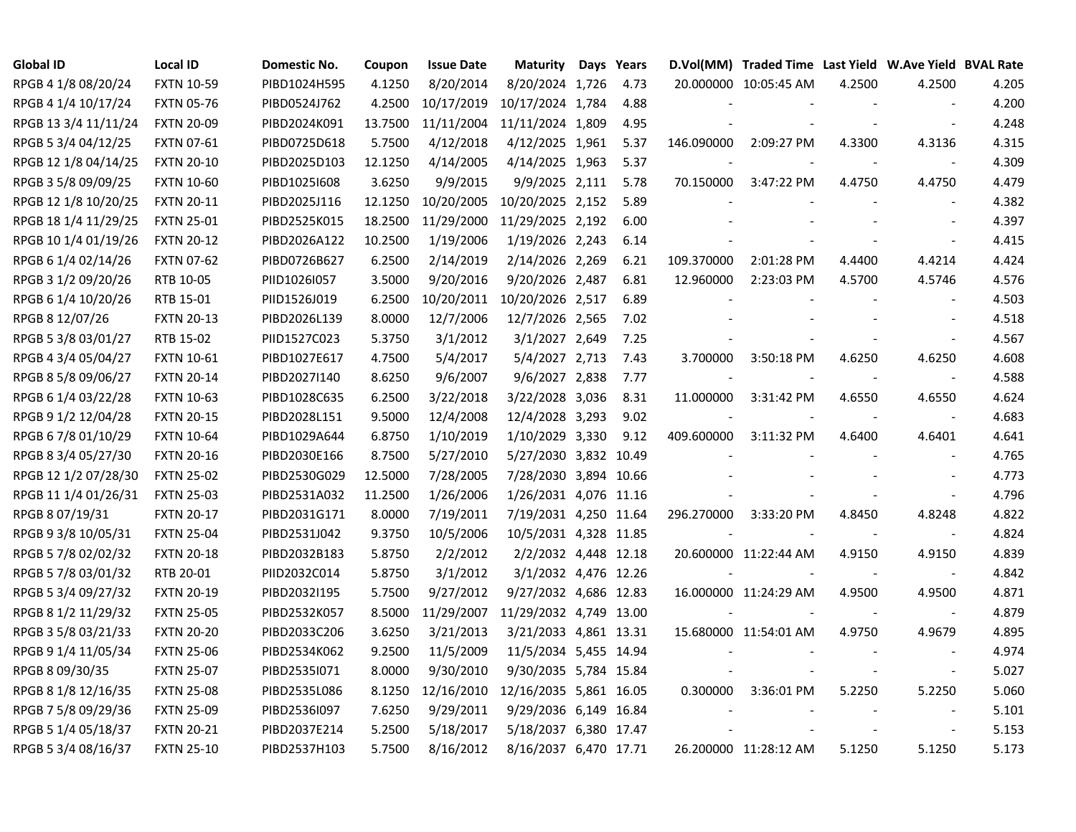| <b>Global ID</b>     | <b>Local ID</b>   | Domestic No. | Coupon  | <b>Issue Date</b> | <b>Maturity</b>        | Days Years |            | D.Vol(MM) Traded Time Last Yield W.Ave Yield BVAL Rate |        |                          |       |
|----------------------|-------------------|--------------|---------|-------------------|------------------------|------------|------------|--------------------------------------------------------|--------|--------------------------|-------|
| RPGB 4 1/8 08/20/24  | <b>FXTN 10-59</b> | PIBD1024H595 | 4.1250  | 8/20/2014         | 8/20/2024 1,726        | 4.73       |            | 20.000000 10:05:45 AM                                  | 4.2500 | 4.2500                   | 4.205 |
| RPGB 4 1/4 10/17/24  | <b>FXTN 05-76</b> | PIBD0524J762 | 4.2500  | 10/17/2019        | 10/17/2024 1,784       | 4.88       |            |                                                        |        | $\sim$                   | 4.200 |
| RPGB 13 3/4 11/11/24 | <b>FXTN 20-09</b> | PIBD2024K091 | 13.7500 | 11/11/2004        | 11/11/2024 1,809       | 4.95       |            |                                                        |        | $\sim$                   | 4.248 |
| RPGB 5 3/4 04/12/25  | <b>FXTN 07-61</b> | PIBD0725D618 | 5.7500  | 4/12/2018         | 4/12/2025 1,961        | 5.37       | 146.090000 | 2:09:27 PM                                             | 4.3300 | 4.3136                   | 4.315 |
| RPGB 12 1/8 04/14/25 | <b>FXTN 20-10</b> | PIBD2025D103 | 12.1250 | 4/14/2005         | 4/14/2025 1,963        | 5.37       |            |                                                        |        | $\overline{\phantom{a}}$ | 4.309 |
| RPGB 3 5/8 09/09/25  | <b>FXTN 10-60</b> | PIBD1025I608 | 3.6250  | 9/9/2015          | 9/9/2025 2,111         | 5.78       | 70.150000  | 3:47:22 PM                                             | 4.4750 | 4.4750                   | 4.479 |
| RPGB 12 1/8 10/20/25 | <b>FXTN 20-11</b> | PIBD2025J116 | 12.1250 | 10/20/2005        | 10/20/2025 2,152       | 5.89       |            |                                                        |        | $\sim$                   | 4.382 |
| RPGB 18 1/4 11/29/25 | <b>FXTN 25-01</b> | PIBD2525K015 | 18.2500 | 11/29/2000        | 11/29/2025 2,192       | 6.00       |            |                                                        |        | $\overline{\phantom{a}}$ | 4.397 |
| RPGB 10 1/4 01/19/26 | <b>FXTN 20-12</b> | PIBD2026A122 | 10.2500 | 1/19/2006         | 1/19/2026 2,243        | 6.14       |            |                                                        |        |                          | 4.415 |
| RPGB 6 1/4 02/14/26  | <b>FXTN 07-62</b> | PIBD0726B627 | 6.2500  | 2/14/2019         | 2/14/2026 2,269        | 6.21       | 109.370000 | 2:01:28 PM                                             | 4.4400 | 4.4214                   | 4.424 |
| RPGB 3 1/2 09/20/26  | RTB 10-05         | PIID1026I057 | 3.5000  | 9/20/2016         | 9/20/2026 2,487        | 6.81       | 12.960000  | 2:23:03 PM                                             | 4.5700 | 4.5746                   | 4.576 |
| RPGB 6 1/4 10/20/26  | RTB 15-01         | PIID1526J019 | 6.2500  | 10/20/2011        | 10/20/2026 2,517       | 6.89       |            |                                                        |        | $\overline{\phantom{a}}$ | 4.503 |
| RPGB 8 12/07/26      | <b>FXTN 20-13</b> | PIBD2026L139 | 8.0000  | 12/7/2006         | 12/7/2026 2,565        | 7.02       |            |                                                        |        | $\overline{\phantom{a}}$ | 4.518 |
| RPGB 5 3/8 03/01/27  | RTB 15-02         | PIID1527C023 | 5.3750  | 3/1/2012          | 3/1/2027 2,649         | 7.25       |            |                                                        |        | $\overline{\phantom{a}}$ | 4.567 |
| RPGB 4 3/4 05/04/27  | <b>FXTN 10-61</b> | PIBD1027E617 | 4.7500  | 5/4/2017          | 5/4/2027 2,713         | 7.43       | 3.700000   | 3:50:18 PM                                             | 4.6250 | 4.6250                   | 4.608 |
| RPGB 8 5/8 09/06/27  | <b>FXTN 20-14</b> | PIBD2027I140 | 8.6250  | 9/6/2007          | 9/6/2027 2,838         | 7.77       |            |                                                        |        |                          | 4.588 |
| RPGB 6 1/4 03/22/28  | <b>FXTN 10-63</b> | PIBD1028C635 | 6.2500  | 3/22/2018         | 3/22/2028 3,036        | 8.31       | 11.000000  | 3:31:42 PM                                             | 4.6550 | 4.6550                   | 4.624 |
| RPGB 9 1/2 12/04/28  | <b>FXTN 20-15</b> | PIBD2028L151 | 9.5000  | 12/4/2008         | 12/4/2028 3,293        | 9.02       |            |                                                        |        | $\overline{\phantom{a}}$ | 4.683 |
| RPGB 6 7/8 01/10/29  | <b>FXTN 10-64</b> | PIBD1029A644 | 6.8750  | 1/10/2019         | 1/10/2029 3,330        | 9.12       | 409.600000 | 3:11:32 PM                                             | 4.6400 | 4.6401                   | 4.641 |
| RPGB 8 3/4 05/27/30  | <b>FXTN 20-16</b> | PIBD2030E166 | 8.7500  | 5/27/2010         | 5/27/2030 3,832 10.49  |            |            |                                                        |        | $\blacksquare$           | 4.765 |
| RPGB 12 1/2 07/28/30 | <b>FXTN 25-02</b> | PIBD2530G029 | 12.5000 | 7/28/2005         | 7/28/2030 3,894 10.66  |            |            |                                                        |        | $\sim$                   | 4.773 |
| RPGB 11 1/4 01/26/31 | <b>FXTN 25-03</b> | PIBD2531A032 | 11.2500 | 1/26/2006         | 1/26/2031 4,076 11.16  |            |            |                                                        |        | $\blacksquare$           | 4.796 |
| RPGB 8 07/19/31      | <b>FXTN 20-17</b> | PIBD2031G171 | 8.0000  | 7/19/2011         | 7/19/2031 4,250 11.64  |            | 296.270000 | 3:33:20 PM                                             | 4.8450 | 4.8248                   | 4.822 |
| RPGB 9 3/8 10/05/31  | <b>FXTN 25-04</b> | PIBD2531J042 | 9.3750  | 10/5/2006         | 10/5/2031 4,328 11.85  |            |            |                                                        |        | $\sim$                   | 4.824 |
| RPGB 5 7/8 02/02/32  | <b>FXTN 20-18</b> | PIBD2032B183 | 5.8750  | 2/2/2012          | 2/2/2032 4,448 12.18   |            |            | 20.600000 11:22:44 AM                                  | 4.9150 | 4.9150                   | 4.839 |
| RPGB 5 7/8 03/01/32  | RTB 20-01         | PIID2032C014 | 5.8750  | 3/1/2012          | 3/1/2032 4,476 12.26   |            |            |                                                        |        | $\sim$                   | 4.842 |
| RPGB 5 3/4 09/27/32  | <b>FXTN 20-19</b> | PIBD2032I195 | 5.7500  | 9/27/2012         | 9/27/2032 4,686 12.83  |            |            | 16.000000 11:24:29 AM                                  | 4.9500 | 4.9500                   | 4.871 |
| RPGB 8 1/2 11/29/32  | <b>FXTN 25-05</b> | PIBD2532K057 | 8.5000  | 11/29/2007        | 11/29/2032 4,749 13.00 |            |            |                                                        |        | $\overline{\phantom{a}}$ | 4.879 |
| RPGB 3 5/8 03/21/33  | <b>FXTN 20-20</b> | PIBD2033C206 | 3.6250  | 3/21/2013         | 3/21/2033 4,861 13.31  |            |            | 15.680000 11:54:01 AM                                  | 4.9750 | 4.9679                   | 4.895 |
| RPGB 9 1/4 11/05/34  | <b>FXTN 25-06</b> | PIBD2534K062 | 9.2500  | 11/5/2009         | 11/5/2034 5,455 14.94  |            |            |                                                        |        | $\overline{\phantom{a}}$ | 4.974 |
| RPGB 8 09/30/35      | <b>FXTN 25-07</b> | PIBD25351071 | 8.0000  | 9/30/2010         | 9/30/2035 5,784 15.84  |            |            |                                                        |        | $\blacksquare$           | 5.027 |
| RPGB 8 1/8 12/16/35  | <b>FXTN 25-08</b> | PIBD2535L086 | 8.1250  | 12/16/2010        | 12/16/2035 5,861 16.05 |            | 0.300000   | 3:36:01 PM                                             | 5.2250 | 5.2250                   | 5.060 |
| RPGB 7 5/8 09/29/36  | <b>FXTN 25-09</b> | PIBD2536I097 | 7.6250  | 9/29/2011         | 9/29/2036 6,149 16.84  |            |            |                                                        |        | $\overline{\phantom{a}}$ | 5.101 |
| RPGB 5 1/4 05/18/37  | <b>FXTN 20-21</b> | PIBD2037E214 | 5.2500  | 5/18/2017         | 5/18/2037 6,380 17.47  |            |            |                                                        |        | $\overline{\phantom{a}}$ | 5.153 |
| RPGB 5 3/4 08/16/37  | <b>FXTN 25-10</b> | PIBD2537H103 | 5.7500  | 8/16/2012         | 8/16/2037 6,470 17.71  |            |            | 26.200000 11:28:12 AM                                  | 5.1250 | 5.1250                   | 5.173 |